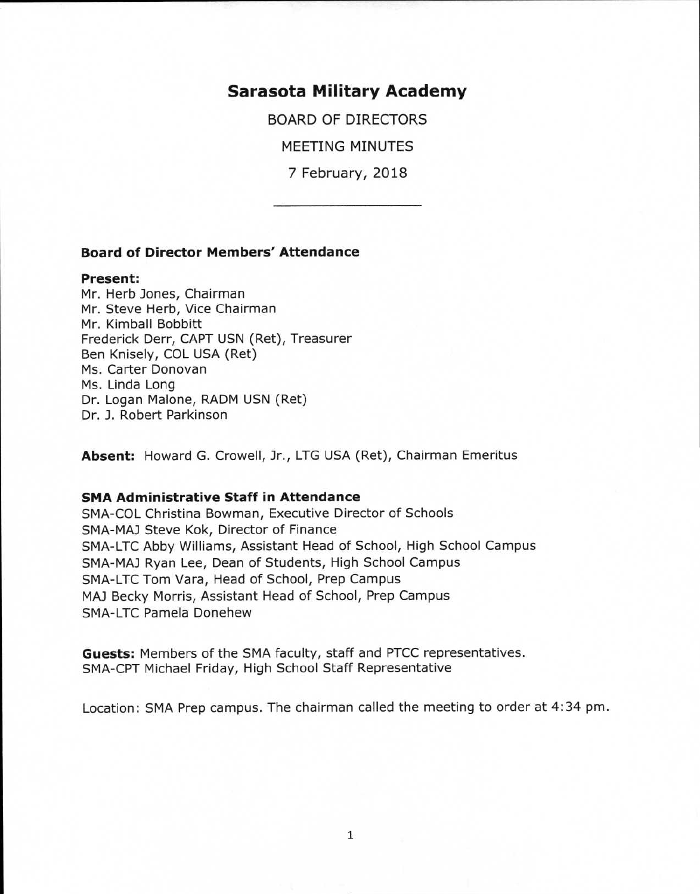# **Sarasota Military Academy**

BOARD OF DIRECTORS

MEETING MINUTES

7 February, 2018

# **Board of Director Members' Attendance**

#### **Present:**

Mr. Herb Jones, Chairman Mr. Steve Herb, Vice Chairman Mr. Kimball Bobbitt Frederick Derr, CAPT USN (Ret), Treasurer Ben Knisely, COL USA (Ret) Ms. Carter Donovan Ms. Linda Long Dr. Logan Malone, RADM USN (Ret) Dr. J. Robert Parkinson

**Absent:** Howard G. Crowell, Jr., LTG USA (Ret), Chairman Emeritus

## **SMA Administrative Staff in Attendance**

SMA-COL Christina Bowman, Executive Director of Schools SMA-MAJ Steve Kok, Director of Finance SMA-LTC Abby Williams, Assistant Head of School, High School Campus SMA-MAJ Ryan Lee, Dean of Students, High School Campus SMA-LTC Tom Vara, Head of School, Prep Campus MAJ Becky Morris, Assistant Head of School, Prep Campus SMA-LTC Pamela Donehew

**Guests:** Members of the SMA faculty, staff and PTCC representatives. SMA-CPT Michael Friday, High School Staff Representative

Location: SMA Prep campus. The chairman called the meeting to order at 4:34 pm.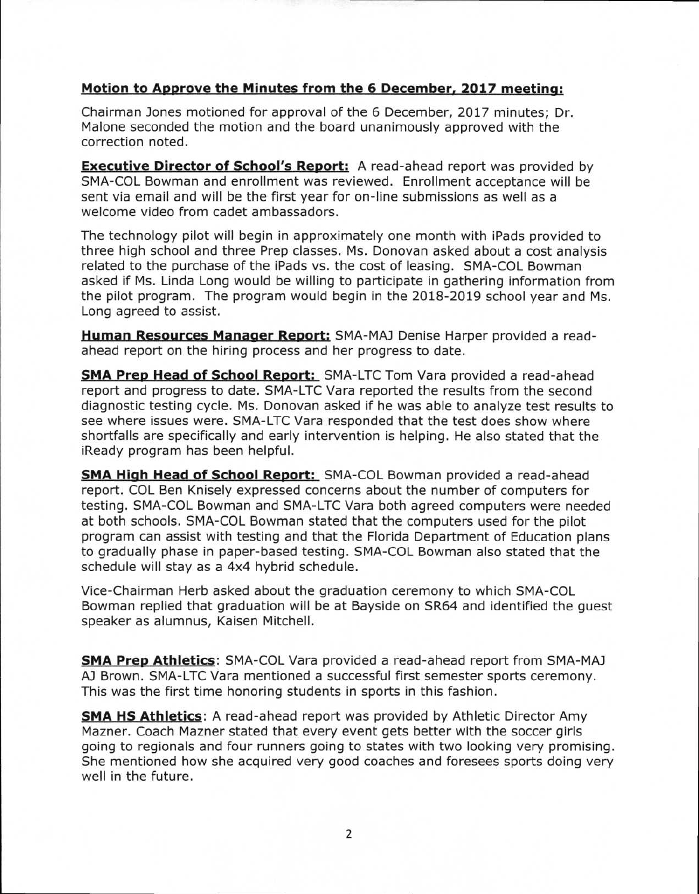# **Motion to Approve the Minutes from the 6 December, 2017 meeting:**

Chairman Jones motioned for approval of the 6 December, 2017 minutes; Dr. Malone seconded the motion and the board unanimously approved with the correction noted.

**Executive Director of School's Report:** A read-ahead report was provided by SMA-COL Bowman and enrollment was reviewed. Enrollment acceptance will be sent via email and will be the first year for on-line submissions as well as a welcome video from cadet ambassadors.

The technology pilot will begin in approximately one month with iPads provided to three high school and three Prep classes. Ms. Donovan asked about a cost analysis related to the purchase of the iPads vs. the cost of leasing. SMA-COL Bowman asked if Ms. Linda Long would be willing to participate in gathering information from the pilot program. The program would begin in the 2018-2019 school year and Ms. Long agreed to assist.

**Human Resources Manager Report:** SMA-MAJ Denise Harper provided a readahead report on the hiring process and her progress to date.

**SMA Prep Head of School Report:** SMA-LTC Tom Vara provided a read-ahead report and progress to date. SMA-LTC Vara reported the results from the second diagnostic testing cycle. Ms. Donovan asked if he was able to analyze test results to see where issues were. SMA-LTC Vara responded that the test does show where shortfalls are specifically and early intervention is helping. He also stated that the iReady program has been helpful.

**SMA High Head of School Report:** SMA-COL Bowman provided a read-ahead report. COL Ben Knisely expressed concerns about the number of computers for testing. SMA-COL Bowman and SMA-LTC Vara both agreed computers were needed at both schools. SMA-COL Bowman stated that the computers used for the pilot program can assist with testing and that the Florida Department of Education plans to gradually phase in paper-based testing. SMA-COL Bowman also stated that the schedule will stay as a 4x4 hybrid schedule.

Vice-Chairman Herb asked about the graduation ceremony to which SMA-COL Bowman replied that graduation will be at Bayside on SR64 and identified the guest speaker as alumnus, Kaisen Mitchell.

**SMA Prep Athletics:** SMA-COL Vara provided a read-ahead report from SMA-MAJ AJ Brown. SMA-LTC Vara mentioned a successful first semester sports ceremony. This was the first time honoring students in sports in this fashion.

**SMA HS Athletics:** A read-ahead report was provided by Athletic Director Amy Mazner. Coach Mazner stated that every event gets better with the soccer girls going to regionals and four runners going to states with two looking very promising. She mentioned how she acquired very good coaches and foresees sports doing very well in the future.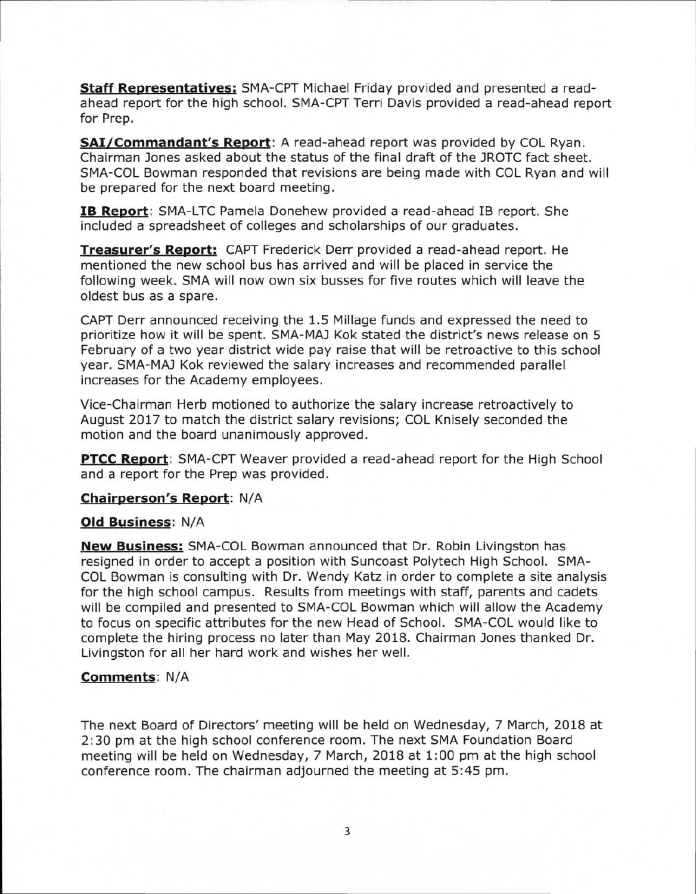**Staff Representatives:** SMA-CPT Michael Friday provided and presented a readahead report for the high school. SMA-CPT Terri Davis provided a read-ahead report for Prep.

**SAI/Commandant's Report:** A read-ahead report was provided by COL Ryan. Chairman Jones asked about the status of the final draft of the JROTC fact sheet. SMA-COL Bowman responded that revisions are being made with COL Ryan and will be prepared for the next board meeting.

**IB Report:** SMA-LTC Pamela Donehew provided a read-ahead IB report. She included a spreadsheet of colleges and scholarships of our graduates.

**Treasurer's Report:** CAPT Frederick Derr provided a read-ahead report. He mentioned the new school bus has arrived and will be placed in service the following week. SMA will now own six busses for five routes which will leave the oldest bus as a spare.

CAPT Derr announced receiving the 1.5 Millage funds and expressed the need to prioritize how it will be spent. SMA-MA3 Kok stated the district's news release on 5 February of a two year district wide pay raise that will be retroactive to this school year. SMA-MAJ Kok reviewed the salary increases and recommended parallel increases for the Academy employees.

Vice-Chairman Herb motioned to authorize the salary increase retroactively to August 2017 to match the district salary revisions; COL Knisely seconded the motion and the board unanimously approved.

**PTCC Report:** SMA-CPT Weaver provided a read-ahead report for the High School and a report for the Prep was provided.

### **Chairperson's Report:** N/A

#### **Old Business:** N/A

**New Business:** SMA-COL Bowman announced that Dr. Robin Livingston has resigned in order to accept a position with Suncoast Polytech High School. SMA-COL Bowman is consulting with Dr. Wendy Katz in order to complete a site analysis for the high school campus. Results from meetings with staff, parents and cadets will be compiled and presented to SMA-COL Bowman which will allow the Academy to focus on specific attributes for the new Head of School. SMA-COL would like to complete the hiring process no later than May 2018. Chairman Jones thanked Dr. Livingston for all her hard work and wishes her well.

### **Comments:** N/A

The next Board of Directors' meeting will be held on Wednesday, 7 March, 2018 at 2:30 pm at the high school conference room. The next SMA Foundation Board meeting will be held on Wednesday, 7 March, 2018 at 1:00 pm at the high school conference room. The chairman adjourned the meeting at 5:45 pm.